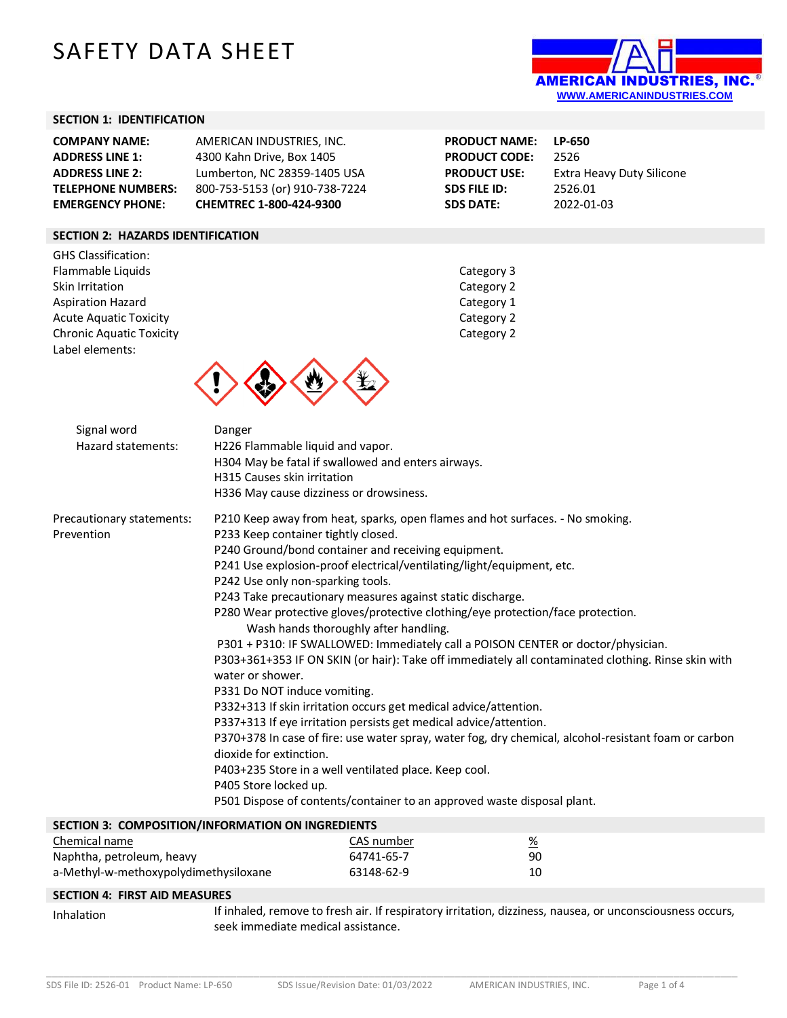# SAFETY DATA SHEET



## **SECTION 1: IDENTIFICATION**

| <b>COMPANY NAME:</b>      | AMERICAN INDUSTRIES. INC.      |
|---------------------------|--------------------------------|
| <b>ADDRESS LINE 1:</b>    | 4300 Kahn Drive, Box 1405      |
| <b>ADDRESS LINE 2:</b>    | Lumberton, NC 28359-1405 USA   |
| <b>TELEPHONE NUMBERS:</b> | 800-753-5153 (or) 910-738-7224 |
| <b>EMERGENCY PHONE:</b>   | CHEMTREC 1-800-424-9300        |

**PRODUCT NAME: LP-650 PRODUCT CODE:** 2526 **PRODUCT USE:** Extra Heavy Duty Silicone **SDS FILE ID:** 2526.01 **SDS DATE:** 2022-01-03

# **SECTION 2: HAZARDS IDENTIFICATION**

GHS Classification: Flammable Liquids **Category 3** Skin Irritation **Category 2** Aspiration Hazard **Category 1** and Category 1 Acute Aquatic Toxicity **Category 2** Chronic Aquatic Toxicity Chronic Aquatic Toxicity Label elements:



| Signal word<br>Hazard statements:       | Danger<br>H226 Flammable liquid and vapor.<br>H304 May be fatal if swallowed and enters airways.<br>H315 Causes skin irritation<br>H336 May cause dizziness or drowsiness.                                                                                                                                                                                                                                                                                                                                                                                                                                                                                                                                                                                                                                                                                                                                                                                                                                                                                                                                                                                                 |
|-----------------------------------------|----------------------------------------------------------------------------------------------------------------------------------------------------------------------------------------------------------------------------------------------------------------------------------------------------------------------------------------------------------------------------------------------------------------------------------------------------------------------------------------------------------------------------------------------------------------------------------------------------------------------------------------------------------------------------------------------------------------------------------------------------------------------------------------------------------------------------------------------------------------------------------------------------------------------------------------------------------------------------------------------------------------------------------------------------------------------------------------------------------------------------------------------------------------------------|
| Precautionary statements:<br>Prevention | P210 Keep away from heat, sparks, open flames and hot surfaces. - No smoking.<br>P233 Keep container tightly closed.<br>P240 Ground/bond container and receiving equipment.<br>P241 Use explosion-proof electrical/ventilating/light/equipment, etc.<br>P242 Use only non-sparking tools.<br>P243 Take precautionary measures against static discharge.<br>P280 Wear protective gloves/protective clothing/eye protection/face protection.<br>Wash hands thoroughly after handling.<br>P301 + P310: IF SWALLOWED: Immediately call a POISON CENTER or doctor/physician.<br>P303+361+353 IF ON SKIN (or hair): Take off immediately all contaminated clothing. Rinse skin with<br>water or shower.<br>P331 Do NOT induce vomiting.<br>P332+313 If skin irritation occurs get medical advice/attention.<br>P337+313 If eye irritation persists get medical advice/attention.<br>P370+378 In case of fire: use water spray, water fog, dry chemical, alcohol-resistant foam or carbon<br>dioxide for extinction.<br>P403+235 Store in a well ventilated place. Keep cool.<br>P405 Store locked up.<br>P501 Dispose of contents/container to an approved waste disposal plant. |
|                                         | SECTION 3: COMPOSITION/INFORMATION ON INGREDIENTS                                                                                                                                                                                                                                                                                                                                                                                                                                                                                                                                                                                                                                                                                                                                                                                                                                                                                                                                                                                                                                                                                                                          |

| Chemical name                         | CAS number | <u>%</u> |
|---------------------------------------|------------|----------|
| Naphtha, petroleum, heavy             | 64741-65-7 | 90       |
| a-Methyl-w-methoxypolydimethysiloxane | 63148-62-9 | 10       |

#### **SECTION 4: FIRST AID MEASURES**

Inhalation If inhaled, remove to fresh air. If respiratory irritation, dizziness, nausea, or unconsciousness occurs, seek immediate medical assistance.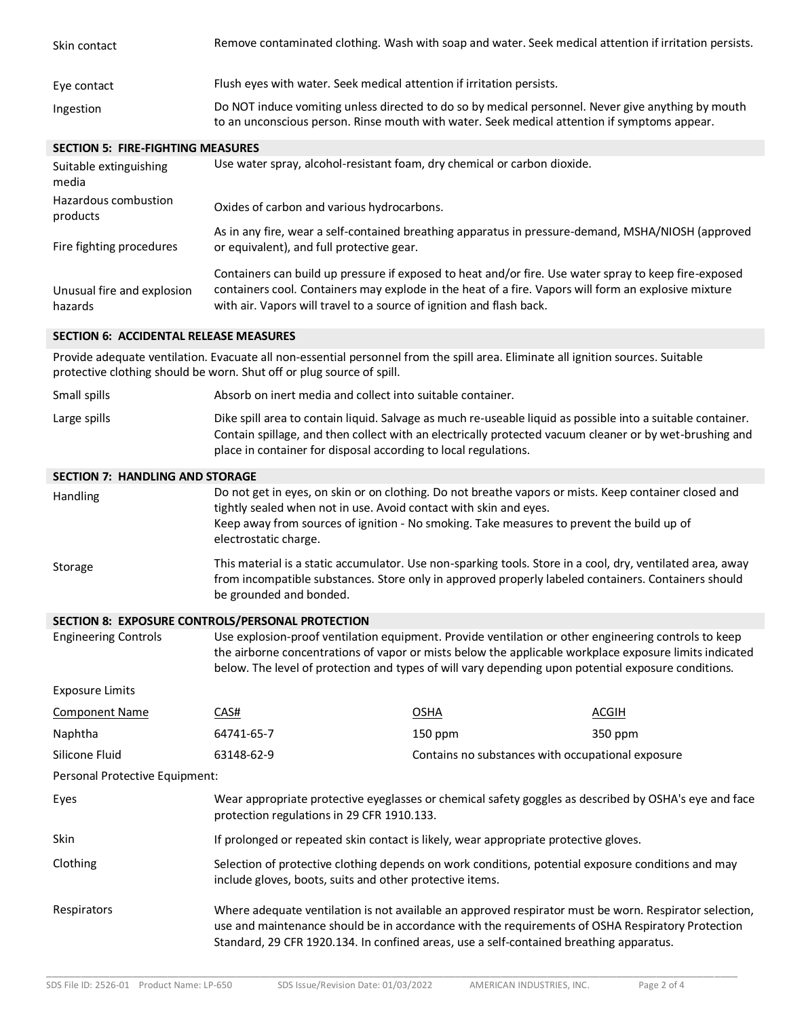| Skin contact                                                                                                                                                                                                                                                                                                                                         | Remove contaminated clothing. Wash with soap and water. Seek medical attention if irritation persists.                                                                                                                                                                                           |                                                   |              |
|------------------------------------------------------------------------------------------------------------------------------------------------------------------------------------------------------------------------------------------------------------------------------------------------------------------------------------------------------|--------------------------------------------------------------------------------------------------------------------------------------------------------------------------------------------------------------------------------------------------------------------------------------------------|---------------------------------------------------|--------------|
| Eye contact                                                                                                                                                                                                                                                                                                                                          | Flush eyes with water. Seek medical attention if irritation persists.                                                                                                                                                                                                                            |                                                   |              |
| Ingestion                                                                                                                                                                                                                                                                                                                                            | Do NOT induce vomiting unless directed to do so by medical personnel. Never give anything by mouth<br>to an unconscious person. Rinse mouth with water. Seek medical attention if symptoms appear.                                                                                               |                                                   |              |
| <b>SECTION 5: FIRE-FIGHTING MEASURES</b>                                                                                                                                                                                                                                                                                                             |                                                                                                                                                                                                                                                                                                  |                                                   |              |
| Suitable extinguishing<br>media                                                                                                                                                                                                                                                                                                                      | Use water spray, alcohol-resistant foam, dry chemical or carbon dioxide.                                                                                                                                                                                                                         |                                                   |              |
| Hazardous combustion<br>products                                                                                                                                                                                                                                                                                                                     | Oxides of carbon and various hydrocarbons.                                                                                                                                                                                                                                                       |                                                   |              |
| Fire fighting procedures                                                                                                                                                                                                                                                                                                                             | As in any fire, wear a self-contained breathing apparatus in pressure-demand, MSHA/NIOSH (approved<br>or equivalent), and full protective gear.                                                                                                                                                  |                                                   |              |
| Unusual fire and explosion<br>hazards                                                                                                                                                                                                                                                                                                                | Containers can build up pressure if exposed to heat and/or fire. Use water spray to keep fire-exposed<br>containers cool. Containers may explode in the heat of a fire. Vapors will form an explosive mixture<br>with air. Vapors will travel to a source of ignition and flash back.            |                                                   |              |
| <b>SECTION 6: ACCIDENTAL RELEASE MEASURES</b>                                                                                                                                                                                                                                                                                                        |                                                                                                                                                                                                                                                                                                  |                                                   |              |
|                                                                                                                                                                                                                                                                                                                                                      | Provide adequate ventilation. Evacuate all non-essential personnel from the spill area. Eliminate all ignition sources. Suitable<br>protective clothing should be worn. Shut off or plug source of spill.                                                                                        |                                                   |              |
| Small spills                                                                                                                                                                                                                                                                                                                                         | Absorb on inert media and collect into suitable container.                                                                                                                                                                                                                                       |                                                   |              |
| Large spills                                                                                                                                                                                                                                                                                                                                         | Dike spill area to contain liquid. Salvage as much re-useable liquid as possible into a suitable container.<br>Contain spillage, and then collect with an electrically protected vacuum cleaner or by wet-brushing and<br>place in container for disposal according to local regulations.        |                                                   |              |
| <b>SECTION 7: HANDLING AND STORAGE</b>                                                                                                                                                                                                                                                                                                               |                                                                                                                                                                                                                                                                                                  |                                                   |              |
| Handling                                                                                                                                                                                                                                                                                                                                             | Do not get in eyes, on skin or on clothing. Do not breathe vapors or mists. Keep container closed and<br>tightly sealed when not in use. Avoid contact with skin and eyes.<br>Keep away from sources of ignition - No smoking. Take measures to prevent the build up of<br>electrostatic charge. |                                                   |              |
| Storage                                                                                                                                                                                                                                                                                                                                              | This material is a static accumulator. Use non-sparking tools. Store in a cool, dry, ventilated area, away<br>from incompatible substances. Store only in approved properly labeled containers. Containers should<br>be grounded and bonded.                                                     |                                                   |              |
|                                                                                                                                                                                                                                                                                                                                                      | SECTION 8: EXPOSURE CONTROLS/PERSONAL PROTECTION                                                                                                                                                                                                                                                 |                                                   |              |
| <b>Engineering Controls</b><br>Use explosion-proof ventilation equipment. Provide ventilation or other engineering controls to keep<br>the airborne concentrations of vapor or mists below the applicable workplace exposure limits indicated<br>below. The level of protection and types of will vary depending upon potential exposure conditions. |                                                                                                                                                                                                                                                                                                  |                                                   |              |
| <b>Exposure Limits</b>                                                                                                                                                                                                                                                                                                                               |                                                                                                                                                                                                                                                                                                  |                                                   |              |
| <b>Component Name</b>                                                                                                                                                                                                                                                                                                                                | CAS#                                                                                                                                                                                                                                                                                             | <b>OSHA</b>                                       | <b>ACGIH</b> |
| Naphtha                                                                                                                                                                                                                                                                                                                                              | 64741-65-7                                                                                                                                                                                                                                                                                       | 150 ppm                                           | 350 ppm      |
| Silicone Fluid                                                                                                                                                                                                                                                                                                                                       | 63148-62-9                                                                                                                                                                                                                                                                                       | Contains no substances with occupational exposure |              |
| Personal Protective Equipment:                                                                                                                                                                                                                                                                                                                       |                                                                                                                                                                                                                                                                                                  |                                                   |              |
| Eyes                                                                                                                                                                                                                                                                                                                                                 | Wear appropriate protective eyeglasses or chemical safety goggles as described by OSHA's eye and face<br>protection regulations in 29 CFR 1910.133.                                                                                                                                              |                                                   |              |
| Skin                                                                                                                                                                                                                                                                                                                                                 | If prolonged or repeated skin contact is likely, wear appropriate protective gloves.                                                                                                                                                                                                             |                                                   |              |
| Clothing                                                                                                                                                                                                                                                                                                                                             | Selection of protective clothing depends on work conditions, potential exposure conditions and may<br>include gloves, boots, suits and other protective items.                                                                                                                                   |                                                   |              |
| Respirators                                                                                                                                                                                                                                                                                                                                          | Where adequate ventilation is not available an approved respirator must be worn. Respirator selection,<br>use and maintenance should be in accordance with the requirements of OSHA Respiratory Protection                                                                                       |                                                   |              |

\_\_\_\_\_\_\_\_\_\_\_\_\_\_\_\_\_\_\_\_\_\_\_\_\_\_\_\_\_\_\_\_\_\_\_\_\_\_\_\_\_\_\_\_\_\_\_\_\_\_\_\_\_\_\_\_\_\_\_\_\_\_\_\_\_\_\_\_\_\_\_\_\_\_\_\_\_\_\_\_\_\_\_\_\_\_\_\_\_\_\_\_\_\_\_\_\_\_\_\_\_\_\_\_\_\_\_\_\_\_\_\_\_\_\_\_\_\_\_\_

Standard, 29 CFR 1920.134. In confined areas, use a self-contained breathing apparatus.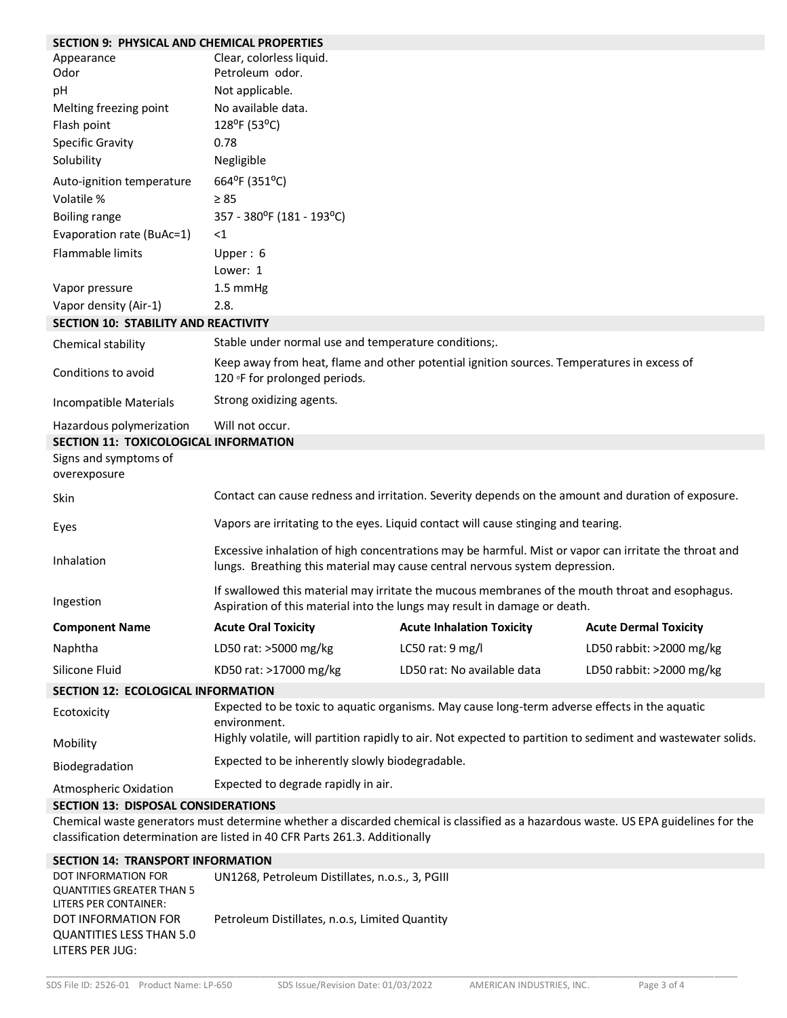| <b>SECTION 9: PHYSICAL AND CHEMICAL PROPERTIES</b>                               |                                                                                                                                                                                      |                                                                                                                                     |                              |
|----------------------------------------------------------------------------------|--------------------------------------------------------------------------------------------------------------------------------------------------------------------------------------|-------------------------------------------------------------------------------------------------------------------------------------|------------------------------|
| Appearance<br>Odor                                                               | Clear, colorless liquid.<br>Petroleum odor.                                                                                                                                          |                                                                                                                                     |                              |
| pH                                                                               | Not applicable.                                                                                                                                                                      |                                                                                                                                     |                              |
| Melting freezing point                                                           | No available data.                                                                                                                                                                   |                                                                                                                                     |                              |
| Flash point                                                                      | 128°F (53°C)                                                                                                                                                                         |                                                                                                                                     |                              |
| <b>Specific Gravity</b>                                                          | 0.78                                                                                                                                                                                 |                                                                                                                                     |                              |
| Solubility                                                                       | Negligible                                                                                                                                                                           |                                                                                                                                     |                              |
| Auto-ignition temperature                                                        | 664°F (351°C)                                                                                                                                                                        |                                                                                                                                     |                              |
| Volatile %                                                                       | $\geq 85$                                                                                                                                                                            |                                                                                                                                     |                              |
| <b>Boiling range</b>                                                             | 357 - 380°F (181 - 193°C)                                                                                                                                                            |                                                                                                                                     |                              |
| Evaporation rate (BuAc=1)                                                        | $<$ 1                                                                                                                                                                                |                                                                                                                                     |                              |
| Flammable limits                                                                 | Upper: 6<br>Lower: 1                                                                                                                                                                 |                                                                                                                                     |                              |
| Vapor pressure                                                                   | 1.5 mmHg                                                                                                                                                                             |                                                                                                                                     |                              |
| Vapor density (Air-1)                                                            | 2.8.                                                                                                                                                                                 |                                                                                                                                     |                              |
| <b>SECTION 10: STABILITY AND REACTIVITY</b>                                      |                                                                                                                                                                                      |                                                                                                                                     |                              |
| Chemical stability                                                               | Stable under normal use and temperature conditions;.                                                                                                                                 |                                                                                                                                     |                              |
| Conditions to avoid                                                              | Keep away from heat, flame and other potential ignition sources. Temperatures in excess of<br>120 °F for prolonged periods.                                                          |                                                                                                                                     |                              |
| Incompatible Materials                                                           | Strong oxidizing agents.                                                                                                                                                             |                                                                                                                                     |                              |
| Hazardous polymerization                                                         | Will not occur.                                                                                                                                                                      |                                                                                                                                     |                              |
| SECTION 11: TOXICOLOGICAL INFORMATION                                            |                                                                                                                                                                                      |                                                                                                                                     |                              |
| Signs and symptoms of<br>overexposure                                            |                                                                                                                                                                                      |                                                                                                                                     |                              |
| Skin                                                                             |                                                                                                                                                                                      | Contact can cause redness and irritation. Severity depends on the amount and duration of exposure.                                  |                              |
| Eyes                                                                             |                                                                                                                                                                                      | Vapors are irritating to the eyes. Liquid contact will cause stinging and tearing.                                                  |                              |
| Inhalation                                                                       | Excessive inhalation of high concentrations may be harmful. Mist or vapor can irritate the throat and<br>lungs. Breathing this material may cause central nervous system depression. |                                                                                                                                     |                              |
| Ingestion                                                                        | If swallowed this material may irritate the mucous membranes of the mouth throat and esophagus.<br>Aspiration of this material into the lungs may result in damage or death.         |                                                                                                                                     |                              |
| <b>Component Name</b>                                                            | <b>Acute Oral Toxicity</b>                                                                                                                                                           | <b>Acute Inhalation Toxicity</b>                                                                                                    | <b>Acute Dermal Toxicity</b> |
| Naphtha                                                                          | LD50 rat: >5000 mg/kg                                                                                                                                                                | LC50 rat: 9 mg/l                                                                                                                    | LD50 rabbit: >2000 mg/kg     |
| Silicone Fluid                                                                   | KD50 rat: >17000 mg/kg                                                                                                                                                               | LD50 rat: No available data                                                                                                         | LD50 rabbit: >2000 mg/kg     |
| SECTION 12: ECOLOGICAL INFORMATION                                               |                                                                                                                                                                                      |                                                                                                                                     |                              |
| Ecotoxicity                                                                      | Expected to be toxic to aquatic organisms. May cause long-term adverse effects in the aquatic<br>environment.                                                                        |                                                                                                                                     |                              |
| Mobility                                                                         | Highly volatile, will partition rapidly to air. Not expected to partition to sediment and wastewater solids.                                                                         |                                                                                                                                     |                              |
| Biodegradation                                                                   | Expected to be inherently slowly biodegradable.                                                                                                                                      |                                                                                                                                     |                              |
| Atmospheric Oxidation                                                            | Expected to degrade rapidly in air.                                                                                                                                                  |                                                                                                                                     |                              |
| <b>SECTION 13: DISPOSAL CONSIDERATIONS</b>                                       |                                                                                                                                                                                      |                                                                                                                                     |                              |
|                                                                                  | classification determination are listed in 40 CFR Parts 261.3. Additionally                                                                                                          | Chemical waste generators must determine whether a discarded chemical is classified as a hazardous waste. US EPA guidelines for the |                              |
| <b>SECTION 14: TRANSPORT INFORMATION</b>                                         |                                                                                                                                                                                      |                                                                                                                                     |                              |
| DOT INFORMATION FOR<br><b>QUANTITIES GREATER THAN 5</b><br>LITERS PER CONTAINER: | UN1268, Petroleum Distillates, n.o.s., 3, PGIII                                                                                                                                      |                                                                                                                                     |                              |

DOT INFORMATION FOR QUANTITIES LESS THAN 5.0 Petroleum Distillates, n.o.s, Limited Quantity

LITERS PER JUG: